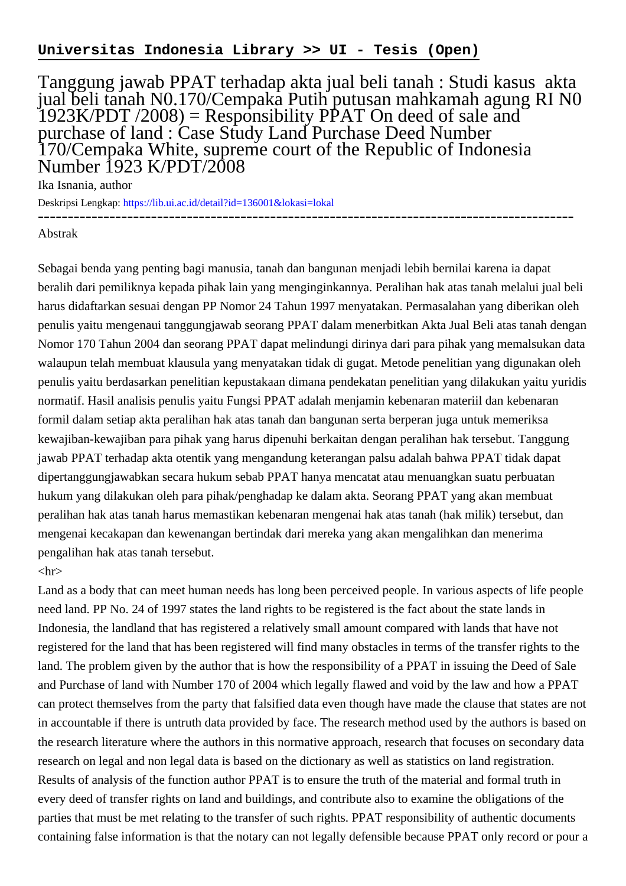## Tanggung jawab PPAT terhadap akta jual beli tanah : Studi kasus akta jual beli tanah N0.170/Cempaka Putih putusan mahkamah agung RI N0  $1923K/PDT/2008$  = Responsibility PPAT On deed of sale and purchase of land : Case Study Land Purchase Deed Number 170/Cempaka White, supreme court of the Republic of Indonesia Number 1923 K/PDT/2008

Ika Isnania, author

Deskripsi Lengkap:<https://lib.ui.ac.id/detail?id=136001&lokasi=lokal> ------------------------------------------------------------------------------------------

## Abstrak

Sebagai benda yang penting bagi manusia, tanah dan bangunan menjadi lebih bernilai karena ia dapat beralih dari pemiliknya kepada pihak lain yang menginginkannya. Peralihan hak atas tanah melalui jual beli harus didaftarkan sesuai dengan PP Nomor 24 Tahun 1997 menyatakan. Permasalahan yang diberikan oleh penulis yaitu mengenaui tanggungjawab seorang PPAT dalam menerbitkan Akta Jual Beli atas tanah dengan Nomor 170 Tahun 2004 dan seorang PPAT dapat melindungi dirinya dari para pihak yang memalsukan data walaupun telah membuat klausula yang menyatakan tidak di gugat. Metode penelitian yang digunakan oleh penulis yaitu berdasarkan penelitian kepustakaan dimana pendekatan penelitian yang dilakukan yaitu yuridis normatif. Hasil analisis penulis yaitu Fungsi PPAT adalah menjamin kebenaran materiil dan kebenaran formil dalam setiap akta peralihan hak atas tanah dan bangunan serta berperan juga untuk memeriksa kewajiban-kewajiban para pihak yang harus dipenuhi berkaitan dengan peralihan hak tersebut. Tanggung jawab PPAT terhadap akta otentik yang mengandung keterangan palsu adalah bahwa PPAT tidak dapat dipertanggungjawabkan secara hukum sebab PPAT hanya mencatat atau menuangkan suatu perbuatan hukum yang dilakukan oleh para pihak/penghadap ke dalam akta. Seorang PPAT yang akan membuat peralihan hak atas tanah harus memastikan kebenaran mengenai hak atas tanah (hak milik) tersebut, dan mengenai kecakapan dan kewenangan bertindak dari mereka yang akan mengalihkan dan menerima pengalihan hak atas tanah tersebut.

## $\langle$ hr $>$

Land as a body that can meet human needs has long been perceived people. In various aspects of life people need land. PP No. 24 of 1997 states the land rights to be registered is the fact about the state lands in Indonesia, the landland that has registered a relatively small amount compared with lands that have not registered for the land that has been registered will find many obstacles in terms of the transfer rights to the land. The problem given by the author that is how the responsibility of a PPAT in issuing the Deed of Sale and Purchase of land with Number 170 of 2004 which legally flawed and void by the law and how a PPAT can protect themselves from the party that falsified data even though have made the clause that states are not in accountable if there is untruth data provided by face. The research method used by the authors is based on the research literature where the authors in this normative approach, research that focuses on secondary data research on legal and non legal data is based on the dictionary as well as statistics on land registration. Results of analysis of the function author PPAT is to ensure the truth of the material and formal truth in every deed of transfer rights on land and buildings, and contribute also to examine the obligations of the parties that must be met relating to the transfer of such rights. PPAT responsibility of authentic documents containing false information is that the notary can not legally defensible because PPAT only record or pour a